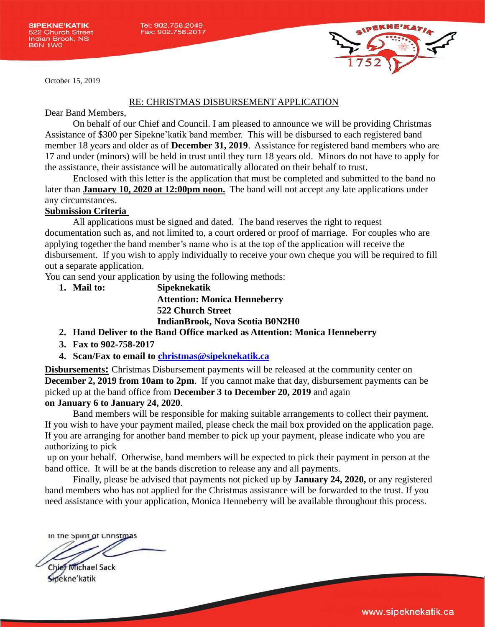Tel: 902.758.2049 Fax: 902.758.2017



## RE: CHRISTMAS DISBURSEMENT APPLICATION

## Dear Band Members,

On behalf of our Chief and Council. I am pleased to announce we will be providing Christmas Assistance of \$300 per Sipekne'katik band member. This will be disbursed to each registered band member 18 years and older as of **December 31, 2019**. Assistance for registered band members who are 17 and under (minors) will be held in trust until they turn 18 years old. Minors do not have to apply for the assistance, their assistance will be automatically allocated on their behalf to trust.

Enclosed with this letter is the application that must be completed and submitted to the band no later than **January 10, 2020 at 12:00pm noon.** The band will not accept any late applications under any circumstances.

## **Submission Criteria**

All applications must be signed and dated. The band reserves the right to request documentation such as, and not limited to, a court ordered or proof of marriage. For couples who are applying together the band member's name who is at the top of the application will receive the disbursement. If you wish to apply individually to receive your own cheque you will be required to fill out a separate application.

You can send your application by using the following methods:

- **1. Mail to: Sipeknekatik Attention: Monica Henneberry 522 Church Street IndianBrook, Nova Scotia B0N2H0**
- **2. Hand Deliver to the Band Office marked as Attention: Monica Henneberry**
- **3. Fax to 902-758-2017**
- **4. Scan/Fax to email to [christmas@sipeknekatik.ca](mailto:christmas@sipeknekatik.ca)**

**Disbursements:** Christmas Disbursement payments will be released at the community center on **December 2, 2019 from 10am to 2pm**. If you cannot make that day, disbursement payments can be picked up at the band office from **December 3 to December 20, 2019** and again **on January 6 to January 24, 2020**.

Band members will be responsible for making suitable arrangements to collect their payment. If you wish to have your payment mailed, please check the mail box provided on the application page. If you are arranging for another band member to pick up your payment, please indicate who you are authorizing to pick

up on your behalf. Otherwise, band members will be expected to pick their payment in person at the band office. It will be at the bands discretion to release any and all payments.

Finally, please be advised that payments not picked up by **January 24, 2020,** or any registered band members who has not applied for the Christmas assistance will be forwarded to the trust. If you need assistance with your application, Monica Henneberry will be available throughout this process.

In the Spirit of Christmas

Chief Michael Sack Sipekne'katik

**DEKNE'KAT**